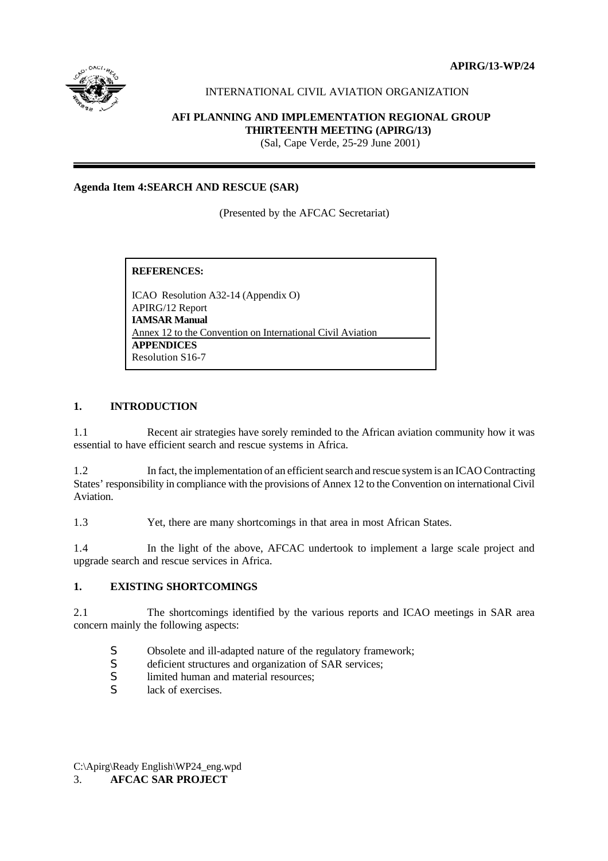**APIRG/13-WP/24**



# INTERNATIONAL CIVIL AVIATION ORGANIZATION

### **AFI PLANNING AND IMPLEMENTATION REGIONAL GROUP THIRTEENTH MEETING (APIRG/13)**

(Sal, Cape Verde, 25-29 June 2001)

### **Agenda Item 4:SEARCH AND RESCUE (SAR)**

(Presented by the AFCAC Secretariat)

**REFERENCES:**

ICAO Resolution A32-14 (Appendix O) APIRG/12 Report **IAMSAR Manual** Annex 12 to the Convention on International Civil Aviation **APPENDICES** Resolution S16-7

### **1. INTRODUCTION**

1.1 Recent air strategies have sorely reminded to the African aviation community how it was essential to have efficient search and rescue systems in Africa.

1.2 In fact, the implementation of an efficient search and rescue system is an ICAO Contracting States' responsibility in compliance with the provisions of Annex 12 to the Convention on international Civil Aviation.

1.3 Yet, there are many shortcomings in that area in most African States.

1.4 In the light of the above, AFCAC undertook to implement a large scale project and upgrade search and rescue services in Africa.

### **1. EXISTING SHORTCOMINGS**

2.1 The shortcomings identified by the various reports and ICAO meetings in SAR area concern mainly the following aspects:

- S Obsolete and ill-adapted nature of the regulatory framework;
- S deficient structures and organization of SAR services;
- S limited human and material resources;
- S lack of exercises.

C:\Apirg\Ready English\WP24\_eng.wpd 3. **AFCAC SAR PROJECT**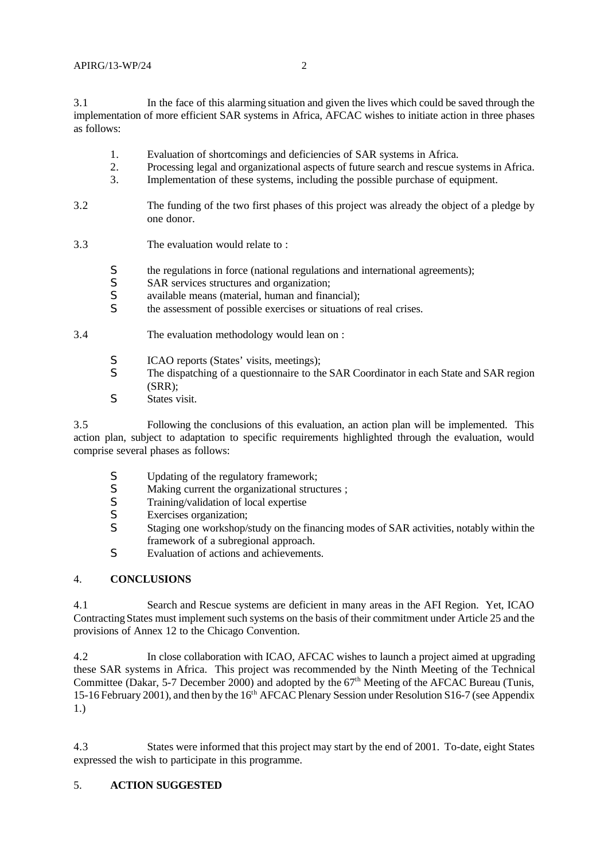3.1 In the face of this alarming situation and given the lives which could be saved through the implementation of more efficient SAR systems in Africa, AFCAC wishes to initiate action in three phases as follows:

- 1. Evaluation of shortcomings and deficiencies of SAR systems in Africa.
- 2. Processing legal and organizational aspects of future search and rescue systems in Africa.
- 3. Implementation of these systems, including the possible purchase of equipment.
- 3.2 The funding of the two first phases of this project was already the object of a pledge by one donor.
- 3.3 The evaluation would relate to :
	- S the regulations in force (national regulations and international agreements);<br>SAR services structures and organization:
	- SAR services structures and organization;
	- S available means (material, human and financial);
	- S the assessment of possible exercises or situations of real crises.
- 3.4 The evaluation methodology would lean on :
	- S ICAO reports (States' visits, meetings);
	- S The dispatching of a questionnaire to the SAR Coordinator in each State and SAR region  $(SRR)$ :
	- S States visit.

3.5 Following the conclusions of this evaluation, an action plan will be implemented. This action plan, subject to adaptation to specific requirements highlighted through the evaluation, would comprise several phases as follows:

- S Updating of the regulatory framework;<br>S Making current the organizational struck
- S Making current the organizational structures ;<br>S Training/validation of local expertise
- S Training/validation of local expertise<br>S Exercises organization:
- S Exercises organization;<br>S Staging one workshop/s
- S Staging one workshop/study on the financing modes of SAR activities, notably within the framework of a subregional approach.
- S Evaluation of actions and achievements.

## 4. **CONCLUSIONS**

4.1 Search and Rescue systems are deficient in many areas in the AFI Region. Yet, ICAO Contracting States must implement such systems on the basis of their commitment under Article 25 and the provisions of Annex 12 to the Chicago Convention.

4.2 In close collaboration with ICAO, AFCAC wishes to launch a project aimed at upgrading these SAR systems in Africa. This project was recommended by the Ninth Meeting of the Technical Committee (Dakar, 5-7 December 2000) and adopted by the 67<sup>th</sup> Meeting of the AFCAC Bureau (Tunis, 15-16 February 2001), and then by the 16<sup>th</sup> AFCAC Plenary Session under Resolution S16-7 (see Appendix 1.)

4.3 States were informed that this project may start by the end of 2001. To-date, eight States expressed the wish to participate in this programme.

# 5. **ACTION SUGGESTED**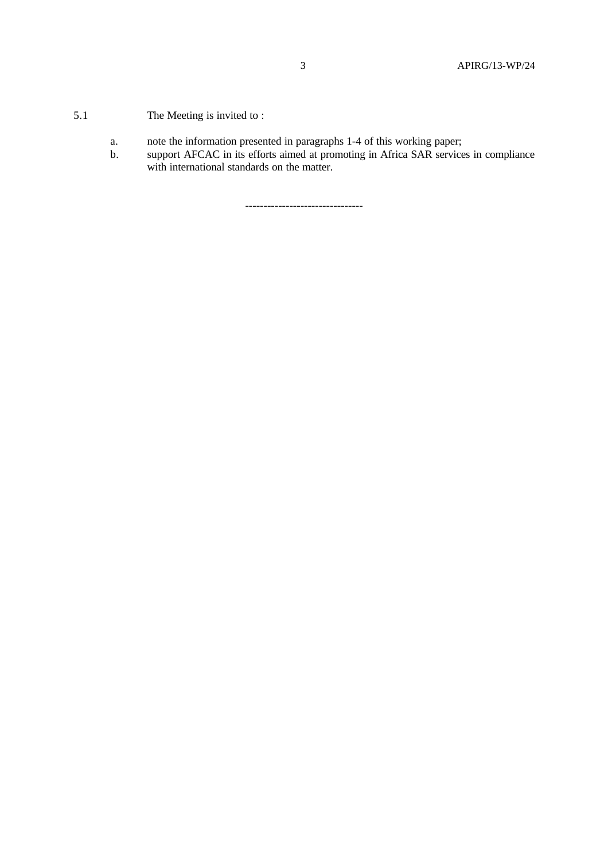- 5.1 The Meeting is invited to :
	- a. note the information presented in paragraphs 1-4 of this working paper;
	- b. support AFCAC in its efforts aimed at promoting in Africa SAR services in compliance with international standards on the matter.

--------------------------------